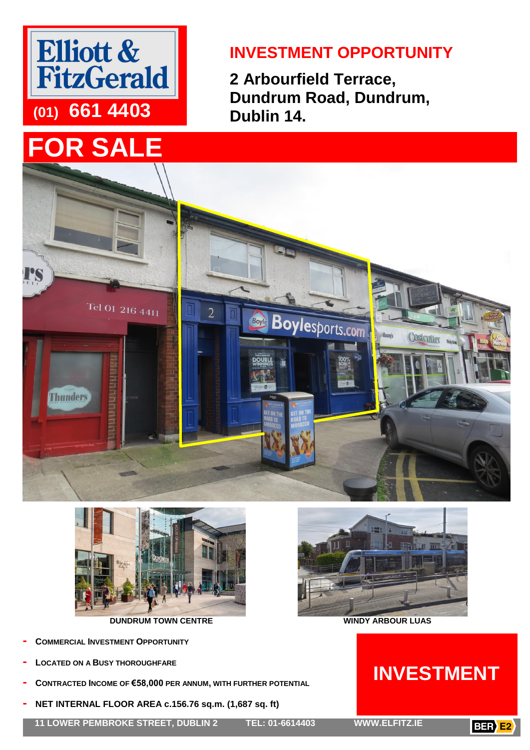

# **FOR SALE**

### **INVESTMENT OPPORTUNITY**

**2 Arbourfield Terrace, Dundrum Road, Dundrum, Dublin 14.**





**DUNDRUM TOWN CENTRE WINDY ARBOUR LUAS**

- **- COMMERCIAL INVESTMENT OPPORTUNITY**
- **- LOCATED ON A BUSY THOROUGHFARE**
- **- CONTRACTED INCOME OF €58,000 PER ANNUM, WITH FURTHER POTENTIAL**
- **- NET INTERNAL FLOOR AREA c.156.76 sq.m. (1,687 sq. ft)**

**11 LOWER PEMBROKE STREET, DUBLIN 2 TEL: 01-6614403 WWW.ELFITZ.IE**





## **INVESTMENT**